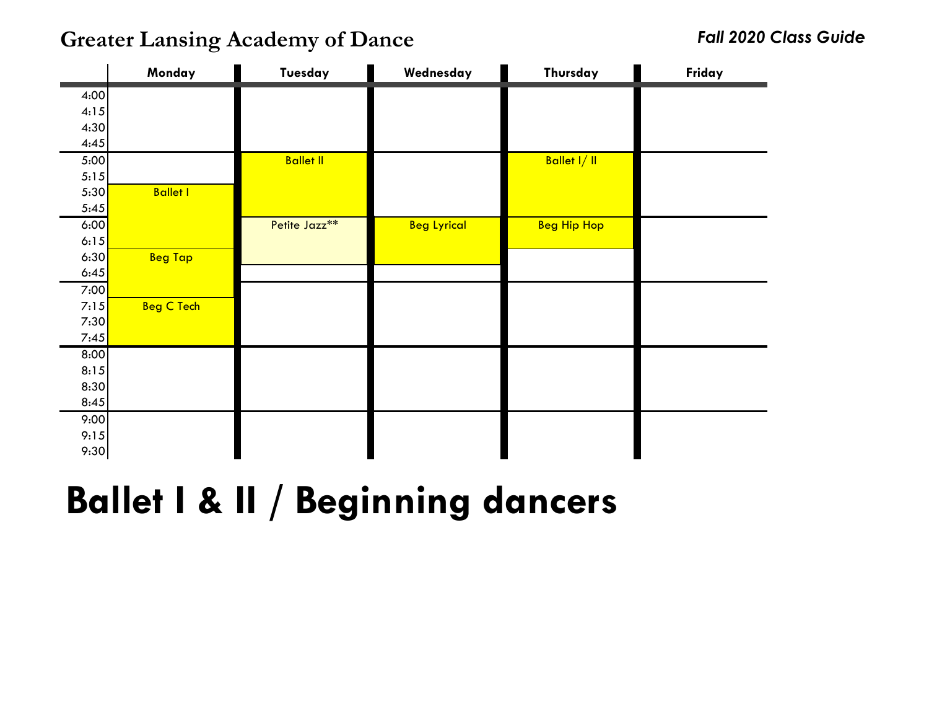**Greater Lansing Academy of Dance** *Fall 2020 Class Guide*

|      | Monday            | Tuesday          | Wednesday          | Thursday           | Friday |
|------|-------------------|------------------|--------------------|--------------------|--------|
| 4:00 |                   |                  |                    |                    |        |
| 4:15 |                   |                  |                    |                    |        |
| 4:30 |                   |                  |                    |                    |        |
| 4:45 |                   |                  |                    |                    |        |
| 5:00 |                   | <b>Ballet II</b> |                    | Ballet I/II        |        |
| 5:15 |                   |                  |                    |                    |        |
| 5:30 | <b>Ballet I</b>   |                  |                    |                    |        |
| 5:45 |                   |                  |                    |                    |        |
| 6:00 |                   | Petite Jazz**    | <b>Beg Lyrical</b> | <b>Beg Hip Hop</b> |        |
| 6:15 |                   |                  |                    |                    |        |
| 6:30 | <b>Beg Tap</b>    |                  |                    |                    |        |
| 6:45 |                   |                  |                    |                    |        |
| 7:00 |                   |                  |                    |                    |        |
| 7:15 | <b>Beg C Tech</b> |                  |                    |                    |        |
| 7:30 |                   |                  |                    |                    |        |
| 7:45 |                   |                  |                    |                    |        |
| 8:00 |                   |                  |                    |                    |        |
| 8:15 |                   |                  |                    |                    |        |
| 8:30 |                   |                  |                    |                    |        |
| 8:45 |                   |                  |                    |                    |        |
| 9:00 |                   |                  |                    |                    |        |
| 9:15 |                   |                  |                    |                    |        |
| 9:30 |                   |                  |                    |                    |        |

# **Ballet I & II / Beginning dancers**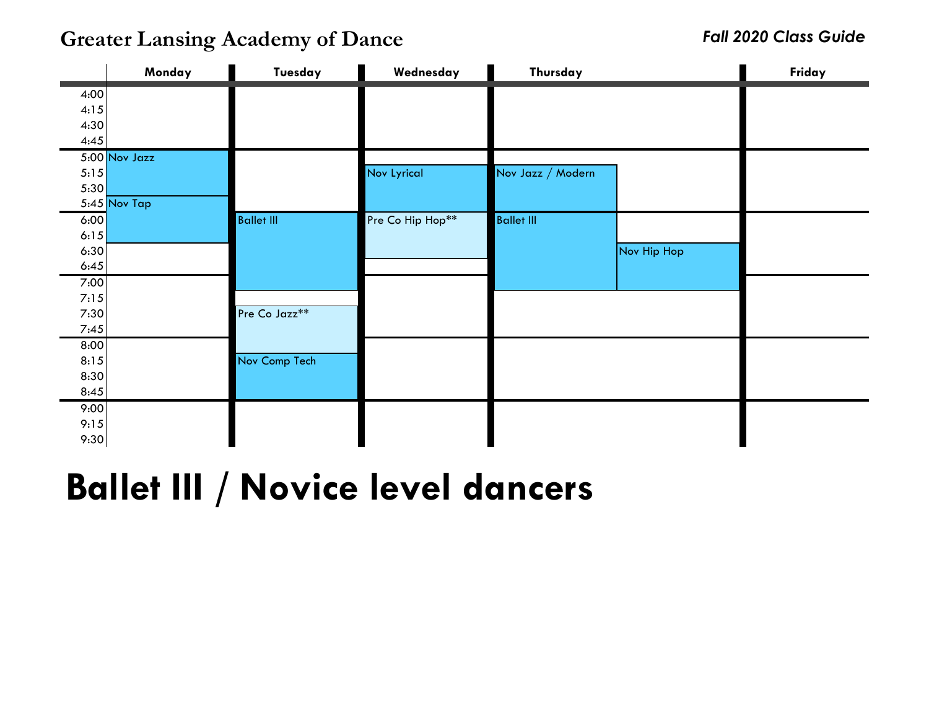**Greater Lansing Academy of Dance** *Fall 2020 Class Guide*

|              | Monday          | Tuesday                   | Wednesday          | Thursday          |             | Friday |
|--------------|-----------------|---------------------------|--------------------|-------------------|-------------|--------|
| 4:00         |                 |                           |                    |                   |             |        |
| 4:15         |                 |                           |                    |                   |             |        |
| 4:30         |                 |                           |                    |                   |             |        |
| 4:45         |                 |                           |                    |                   |             |        |
|              | $5:00$ Nov Jazz |                           |                    |                   |             |        |
| 5:15         |                 |                           | <b>Nov Lyrical</b> | Nov Jazz / Modern |             |        |
| 5:30         |                 |                           |                    |                   |             |        |
|              | $5:45$ Nov Tap  |                           |                    |                   |             |        |
| 6:00         |                 | <b>Ballet III</b>         | Pre Co Hip Hop**   | <b>Ballet III</b> |             |        |
| 6:15         |                 |                           |                    |                   |             |        |
| 6:30         |                 |                           |                    |                   | Nov Hip Hop |        |
| 6:45         |                 |                           |                    |                   |             |        |
| 7:00         |                 |                           |                    |                   |             |        |
| 7:15<br>7:30 |                 | Pre Co Jazz <sup>**</sup> |                    |                   |             |        |
| 7:45         |                 |                           |                    |                   |             |        |
| 8:00         |                 |                           |                    |                   |             |        |
| 8:15         |                 | Nov Comp Tech             |                    |                   |             |        |
| 8:30         |                 |                           |                    |                   |             |        |
| 8:45         |                 |                           |                    |                   |             |        |
| 9:00         |                 |                           |                    |                   |             |        |
| 9:15         |                 |                           |                    |                   |             |        |
| 9:30         |                 |                           |                    |                   |             |        |

## **Ballet III / Novice level dancers**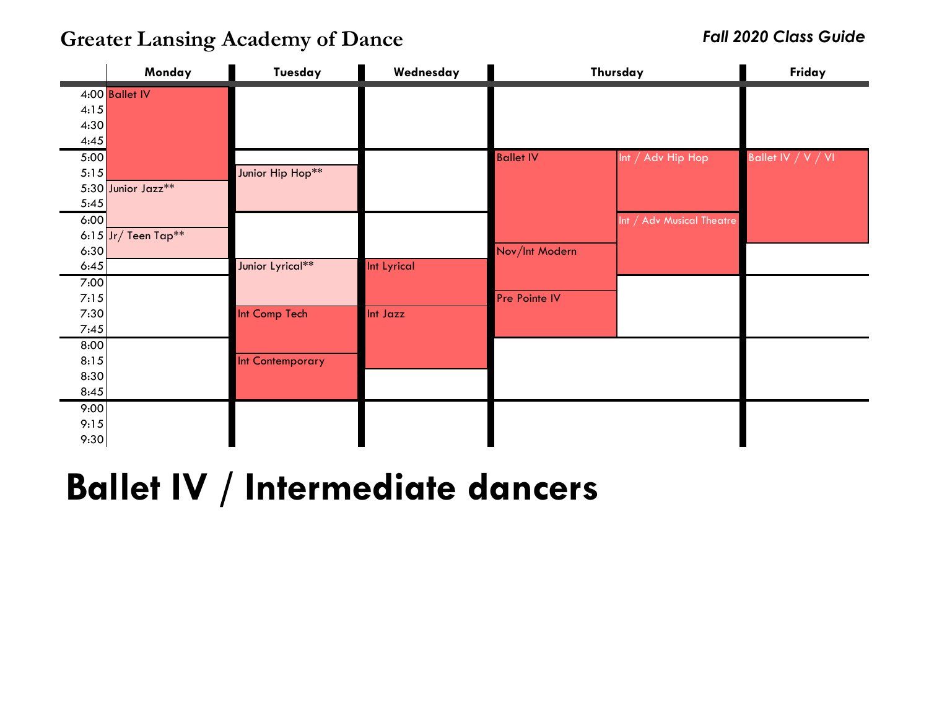**Greater Lansing Academy of Dance** *Fall 2020 Class Guide*

|              | Monday                | Tuesday          | Wednesday   | Thursday         | Friday                    |                    |
|--------------|-----------------------|------------------|-------------|------------------|---------------------------|--------------------|
|              | 4:00 Ballet IV        |                  |             |                  |                           |                    |
| 4:15<br>4:30 |                       |                  |             |                  |                           |                    |
| 4:45         |                       |                  |             |                  |                           |                    |
| 5:00         |                       |                  |             | <b>Ballet IV</b> | Int $/$ Adv Hip Hop       | Ballet IV / V / VI |
| 5:15         |                       | Junior Hip Hop** |             |                  |                           |                    |
|              | 5:30 Junior Jazz**    |                  |             |                  |                           |                    |
| 5:45         |                       |                  |             |                  |                           |                    |
| 6:00         | 6:15 $Jr/$ Teen Tap** |                  |             |                  | Int / Adv Musical Theatre |                    |
| 6:30         |                       |                  |             | Nov/Int Modern   |                           |                    |
| 6:45         |                       | Junior Lyrical** | Int Lyrical |                  |                           |                    |
| 7:00         |                       |                  |             |                  |                           |                    |
| 7:15         |                       |                  |             | Pre Pointe IV    |                           |                    |
| 7:30<br>7:45 |                       | Int Comp Tech    | Int Jazz    |                  |                           |                    |
| 8:00         |                       |                  |             |                  |                           |                    |
| 8:15         |                       | Int Contemporary |             |                  |                           |                    |
| 8:30         |                       |                  |             |                  |                           |                    |
| 8:45         |                       |                  |             |                  |                           |                    |
| 9:00         |                       |                  |             |                  |                           |                    |
| 9:15<br>9:30 |                       |                  |             |                  |                           |                    |

### **Ballet IV / Intermediate dancers**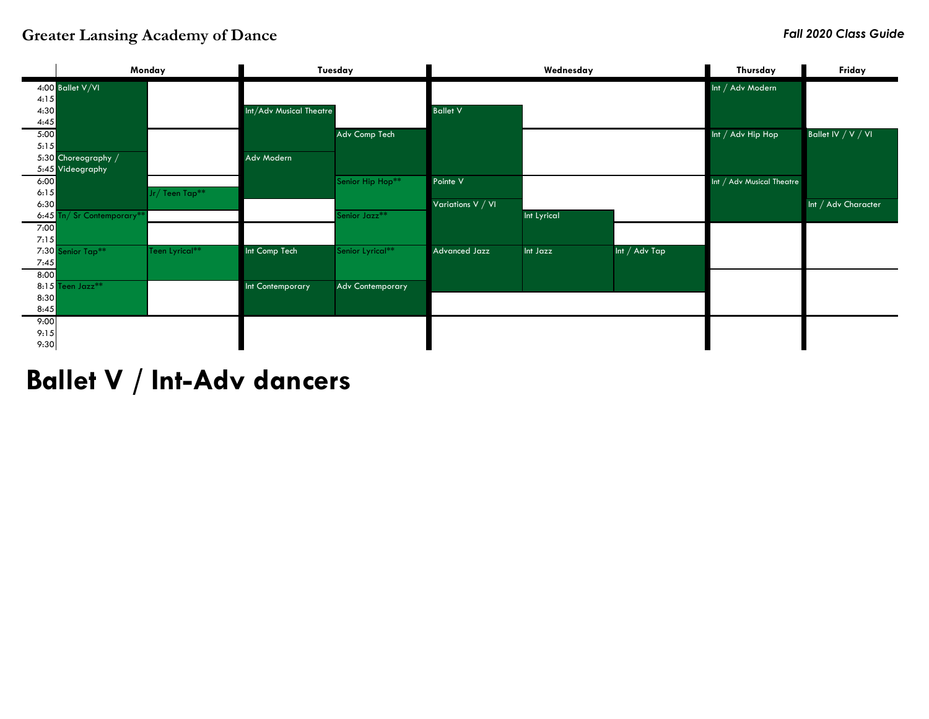#### **Greater Lansing Academy of Dance** *Fall 2020 Class Guide*



**Ballet V / Int-Adv dancers**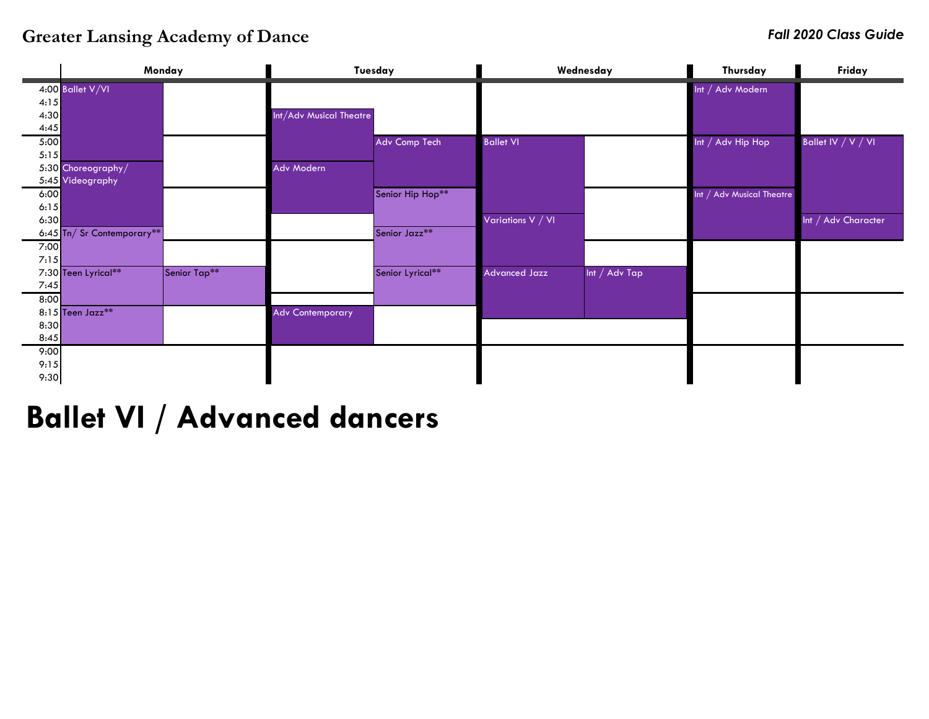### **Greater Lansing Academy of Dance** *Fall 2020 Class Guide*

|      | Monday                                 |              |                         | Tuesday          | Wednesday                      |              | Thursday                  | Friday              |
|------|----------------------------------------|--------------|-------------------------|------------------|--------------------------------|--------------|---------------------------|---------------------|
|      | 4:00 Ballet V/VI                       |              |                         |                  |                                |              | Int / Adv Modern          |                     |
| 4:15 |                                        |              |                         |                  |                                |              |                           |                     |
| 4:30 |                                        |              | Int/Adv Musical Theatre |                  |                                |              |                           |                     |
| 4:45 |                                        |              |                         |                  |                                |              |                           |                     |
| 5:00 |                                        |              |                         | Adv Comp Tech    | <b>Ballet VI</b>               |              | Int / Adv Hip Hop         | Ballet IV / V / VI  |
| 5:15 |                                        |              |                         |                  |                                |              |                           |                     |
|      | 5:30 Choreography/<br>5:45 Videography |              | Adv Modern              |                  |                                |              |                           |                     |
| 6:00 |                                        |              |                         | Senior Hip Hop** |                                |              |                           |                     |
| 6:15 |                                        |              |                         |                  |                                |              | Int / Adv Musical Theatre |                     |
| 6:30 |                                        |              |                         |                  | Variations V <mark>/ VI</mark> |              |                           | Int / Adv Character |
|      | 6:45 Tn/ Sr Contemporary**             |              |                         | Senior Jazz**    |                                |              |                           |                     |
| 7:00 |                                        |              |                         |                  |                                |              |                           |                     |
| 7:15 |                                        |              |                         |                  |                                |              |                           |                     |
|      | 7:30 Teen Lyrical**                    | Senior Tap** |                         | Senior Lyrical** | <b>Advanced Jazz</b>           | Int / AdvTap |                           |                     |
| 7:45 |                                        |              |                         |                  |                                |              |                           |                     |
| 8:00 |                                        |              |                         |                  |                                |              |                           |                     |
|      | 8:15 Teen Jazz**                       |              | <b>Adv Contemporary</b> |                  |                                |              |                           |                     |
| 8:30 |                                        |              |                         |                  |                                |              |                           |                     |
| 8:45 |                                        |              |                         |                  |                                |              |                           |                     |
| 9:00 |                                        |              |                         |                  |                                |              |                           |                     |
| 9:15 |                                        |              |                         |                  |                                |              |                           |                     |
| 9:30 |                                        |              |                         |                  |                                |              |                           |                     |

### **Ballet VI / Advanced dancers**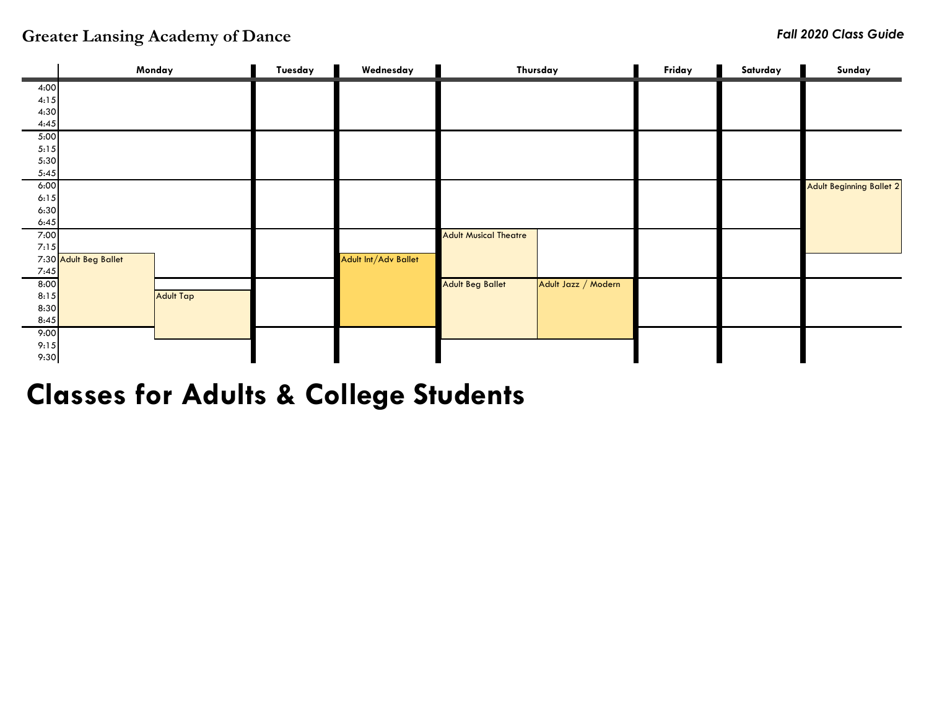|              | Monday                |                  | Tuesday | Wednesday            |                              | Thursday            | Friday | Saturday | Sunday                          |
|--------------|-----------------------|------------------|---------|----------------------|------------------------------|---------------------|--------|----------|---------------------------------|
| 4:00         |                       |                  |         |                      |                              |                     |        |          |                                 |
| 4:15         |                       |                  |         |                      |                              |                     |        |          |                                 |
| 4:30         |                       |                  |         |                      |                              |                     |        |          |                                 |
| 4:45         |                       |                  |         |                      |                              |                     |        |          |                                 |
| 5:00         |                       |                  |         |                      |                              |                     |        |          |                                 |
| 5:15         |                       |                  |         |                      |                              |                     |        |          |                                 |
| 5:30         |                       |                  |         |                      |                              |                     |        |          |                                 |
| 5:45         |                       |                  |         |                      |                              |                     |        |          |                                 |
| 6:00         |                       |                  |         |                      |                              |                     |        |          | <b>Adult Beginning Ballet 2</b> |
| 6:15         |                       |                  |         |                      |                              |                     |        |          |                                 |
| 6:30         |                       |                  |         |                      |                              |                     |        |          |                                 |
| 6:45         |                       |                  |         |                      |                              |                     |        |          |                                 |
| 7:00<br>7:15 |                       |                  |         |                      | <b>Adult Musical Theatre</b> |                     |        |          |                                 |
|              | 7:30 Adult Beg Ballet |                  |         | Adult Int/Adv Ballet |                              |                     |        |          |                                 |
| 7:45         |                       |                  |         |                      |                              |                     |        |          |                                 |
| 8:00         |                       |                  |         |                      | <b>Adult Beg Ballet</b>      | Adult Jazz / Modern |        |          |                                 |
| 8:15         |                       | <b>Adult Tap</b> |         |                      |                              |                     |        |          |                                 |
| 8:30         |                       |                  |         |                      |                              |                     |        |          |                                 |
| 8:45         |                       |                  |         |                      |                              |                     |        |          |                                 |
| 9:00         |                       |                  |         |                      |                              |                     |        |          |                                 |
| 9:15         |                       |                  |         |                      |                              |                     |        |          |                                 |
| 9:30         |                       |                  |         |                      |                              |                     |        |          |                                 |

**Classes for Adults & College Students**